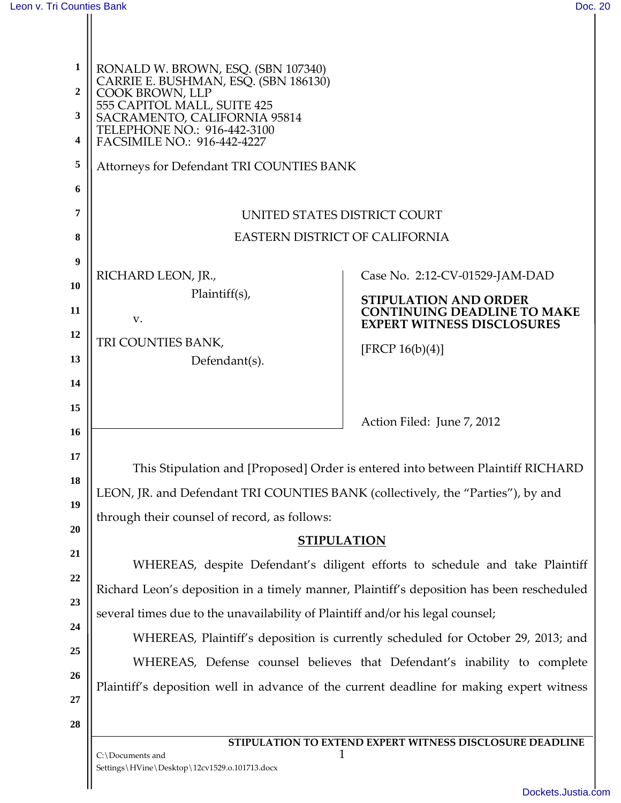$\mathbf{H}$ 

II

| 1<br>$\overline{2}$<br>3<br>4<br>5<br>6<br>7 | RONALD W. BROWN, ESQ. (SBN 107340)<br>CARRIE E. BUSHMAN, ESQ. (SBN 186130)<br>COOK BROWN, LLP<br>555 CAPITOL MALL, SUITE 425<br>SACRAMENTO, CALIFORNIA 95814<br>TELEPHONE NO.: 916-442-3100<br>FACSIMILE NO.: 916-442-4227<br>Attorneys for Defendant TRI COUNTIES BANK<br>UNITED STATES DISTRICT COURT |                                                                                          |  |
|----------------------------------------------|---------------------------------------------------------------------------------------------------------------------------------------------------------------------------------------------------------------------------------------------------------------------------------------------------------|------------------------------------------------------------------------------------------|--|
| 8                                            | <b>EASTERN DISTRICT OF CALIFORNIA</b>                                                                                                                                                                                                                                                                   |                                                                                          |  |
| 9                                            |                                                                                                                                                                                                                                                                                                         |                                                                                          |  |
| 10                                           | RICHARD LEON, JR.,                                                                                                                                                                                                                                                                                      | Case No. 2:12-CV-01529-JAM-DAD                                                           |  |
| 11                                           | $Plaintiff(s)$ ,                                                                                                                                                                                                                                                                                        | <b>STIPULATION AND ORDER</b><br><b>CONTINUING DEADLINE TO MAKE</b>                       |  |
| 12                                           | v.                                                                                                                                                                                                                                                                                                      | <b>EXPERT WITNESS DISCLOSURES</b>                                                        |  |
| 13                                           | TRI COUNTIES BANK,<br>Defendant(s).                                                                                                                                                                                                                                                                     | [FRCP $16(b)(4)$ ]                                                                       |  |
| 14                                           |                                                                                                                                                                                                                                                                                                         |                                                                                          |  |
| 15                                           |                                                                                                                                                                                                                                                                                                         |                                                                                          |  |
| 16                                           |                                                                                                                                                                                                                                                                                                         | Action Filed: June 7, 2012                                                               |  |
| 17                                           | This Stipulation and [Proposed] Order is entered into between Plaintiff RICHARD                                                                                                                                                                                                                         |                                                                                          |  |
| 18                                           | LEON, JR. and Defendant TRI COUNTIES BANK (collectively, the "Parties"), by and                                                                                                                                                                                                                         |                                                                                          |  |
| 19                                           | through their counsel of record, as follows:                                                                                                                                                                                                                                                            |                                                                                          |  |
| 20                                           | <b>STIPULATION</b>                                                                                                                                                                                                                                                                                      |                                                                                          |  |
| 21                                           | WHEREAS, despite Defendant's diligent efforts to schedule and take Plaintiff                                                                                                                                                                                                                            |                                                                                          |  |
| 22                                           | Richard Leon's deposition in a timely manner, Plaintiff's deposition has been rescheduled                                                                                                                                                                                                               |                                                                                          |  |
| 23                                           | several times due to the unavailability of Plaintiff and/or his legal counsel;                                                                                                                                                                                                                          |                                                                                          |  |
| 24                                           | WHEREAS, Plaintiff's deposition is currently scheduled for October 29, 2013; and                                                                                                                                                                                                                        |                                                                                          |  |
| 25                                           | WHEREAS, Defense counsel believes that Defendant's inability to complete                                                                                                                                                                                                                                |                                                                                          |  |
| 26<br>27                                     |                                                                                                                                                                                                                                                                                                         | Plaintiff's deposition well in advance of the current deadline for making expert witness |  |
| 28                                           |                                                                                                                                                                                                                                                                                                         |                                                                                          |  |
|                                              |                                                                                                                                                                                                                                                                                                         | STIPULATION TO EXTEND EXPERT WITNESS DISCLOSURE DEADLINE                                 |  |
|                                              | C:\Documents and<br>Settings\HVine\Desktop\12cv1529.o.101713.docx                                                                                                                                                                                                                                       |                                                                                          |  |
|                                              |                                                                                                                                                                                                                                                                                                         |                                                                                          |  |